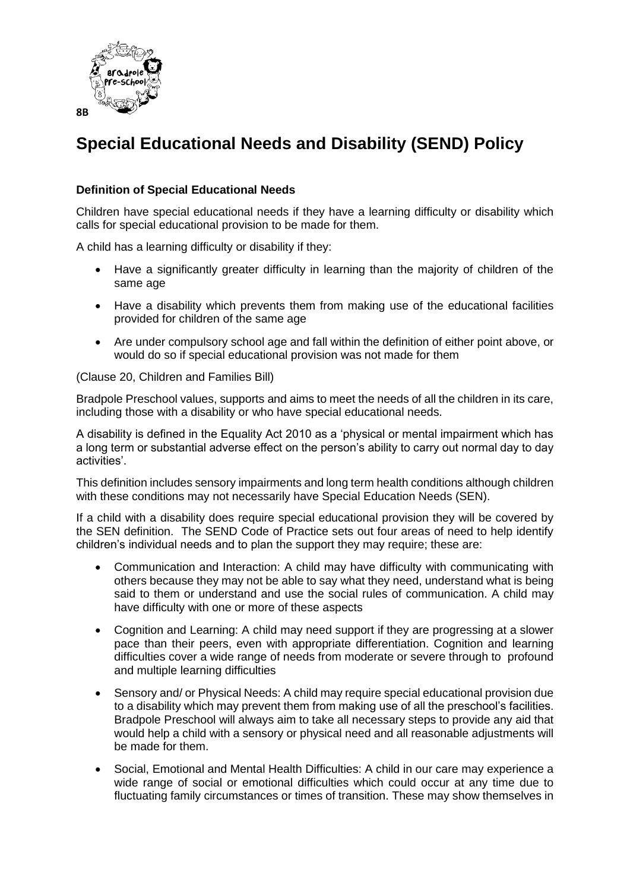

# **Special Educational Needs and Disability (SEND) Policy**

## **Definition of Special Educational Needs**

Children have special educational needs if they have a learning difficulty or disability which calls for special educational provision to be made for them.

A child has a learning difficulty or disability if they:

- Have a significantly greater difficulty in learning than the majority of children of the same age
- Have a disability which prevents them from making use of the educational facilities provided for children of the same age
- Are under compulsory school age and fall within the definition of either point above, or would do so if special educational provision was not made for them

(Clause 20, Children and Families Bill)

Bradpole Preschool values, supports and aims to meet the needs of all the children in its care, including those with a disability or who have special educational needs.

A disability is defined in the Equality Act 2010 as a 'physical or mental impairment which has a long term or substantial adverse effect on the person's ability to carry out normal day to day activities'.

This definition includes sensory impairments and long term health conditions although children with these conditions may not necessarily have Special Education Needs (SEN).

If a child with a disability does require special educational provision they will be covered by the SEN definition. The SEND Code of Practice sets out four areas of need to help identify children's individual needs and to plan the support they may require; these are:

- Communication and Interaction: A child may have difficulty with communicating with others because they may not be able to say what they need, understand what is being said to them or understand and use the social rules of communication. A child may have difficulty with one or more of these aspects
- Cognition and Learning: A child may need support if they are progressing at a slower pace than their peers, even with appropriate differentiation. Cognition and learning difficulties cover a wide range of needs from moderate or severe through to profound and multiple learning difficulties
- Sensory and/ or Physical Needs: A child may require special educational provision due to a disability which may prevent them from making use of all the preschool's facilities. Bradpole Preschool will always aim to take all necessary steps to provide any aid that would help a child with a sensory or physical need and all reasonable adjustments will be made for them.
- Social, Emotional and Mental Health Difficulties: A child in our care may experience a wide range of social or emotional difficulties which could occur at any time due to fluctuating family circumstances or times of transition. These may show themselves in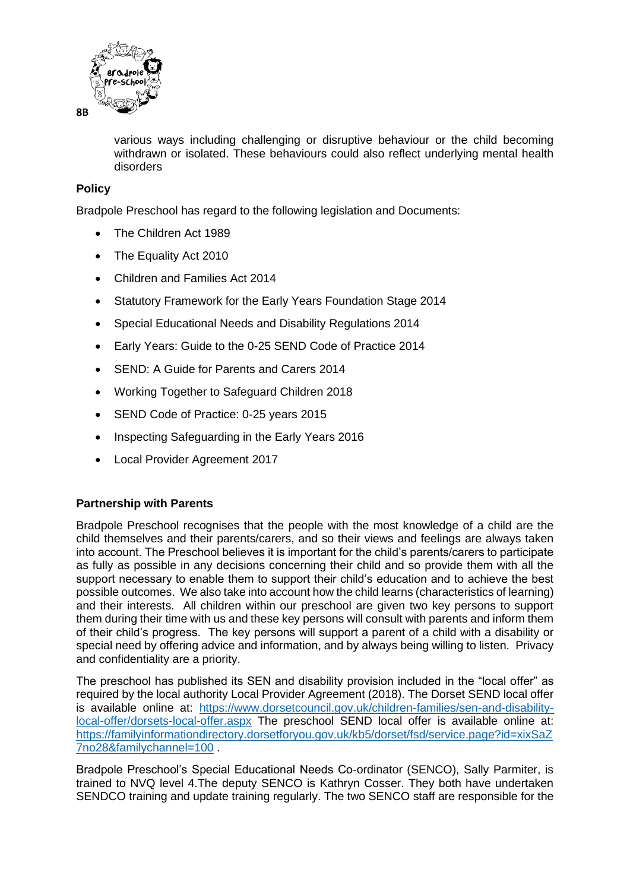

various ways including challenging or disruptive behaviour or the child becoming withdrawn or isolated. These behaviours could also reflect underlying mental health disorders

### **Policy**

Bradpole Preschool has regard to the following legislation and Documents:

- The Children Act 1989
- The Equality Act 2010
- Children and Families Act 2014
- Statutory Framework for the Early Years Foundation Stage 2014
- Special Educational Needs and Disability Regulations 2014
- Early Years: Guide to the 0-25 SEND Code of Practice 2014
- SEND: A Guide for Parents and Carers 2014
- Working Together to Safeguard Children 2018
- SEND Code of Practice: 0-25 years 2015
- Inspecting Safeguarding in the Early Years 2016
- Local Provider Agreement 2017

#### **Partnership with Parents**

Bradpole Preschool recognises that the people with the most knowledge of a child are the child themselves and their parents/carers, and so their views and feelings are always taken into account. The Preschool believes it is important for the child's parents/carers to participate as fully as possible in any decisions concerning their child and so provide them with all the support necessary to enable them to support their child's education and to achieve the best possible outcomes. We also take into account how the child learns (characteristics of learning) and their interests. All children within our preschool are given two key persons to support them during their time with us and these key persons will consult with parents and inform them of their child's progress. The key persons will support a parent of a child with a disability or special need by offering advice and information, and by always being willing to listen. Privacy and confidentiality are a priority.

The preschool has published its SEN and disability provision included in the "local offer" as required by the local authority Local Provider Agreement (2018). The Dorset SEND local offer is available online at: [https://www.dorsetcouncil.gov.uk/children-families/sen-and-disability](https://www.dorsetcouncil.gov.uk/children-families/sen-and-disability-local-offer/dorsets-local-offer.aspx)[local-offer/dorsets-local-offer.aspx](https://www.dorsetcouncil.gov.uk/children-families/sen-and-disability-local-offer/dorsets-local-offer.aspx) The preschool SEND local offer is available online at: [https://familyinformationdirectory.dorsetforyou.gov.uk/kb5/dorset/fsd/service.page?id=xixSaZ](https://familyinformationdirectory.dorsetforyou.gov.uk/kb5/dorset/fsd/service.page?id=xixSaZ7no28&familychannel=100) [7no28&familychannel=100](https://familyinformationdirectory.dorsetforyou.gov.uk/kb5/dorset/fsd/service.page?id=xixSaZ7no28&familychannel=100) .

Bradpole Preschool's Special Educational Needs Co-ordinator (SENCO), Sally Parmiter, is trained to NVQ level 4.The deputy SENCO is Kathryn Cosser. They both have undertaken SENDCO training and update training regularly. The two SENCO staff are responsible for the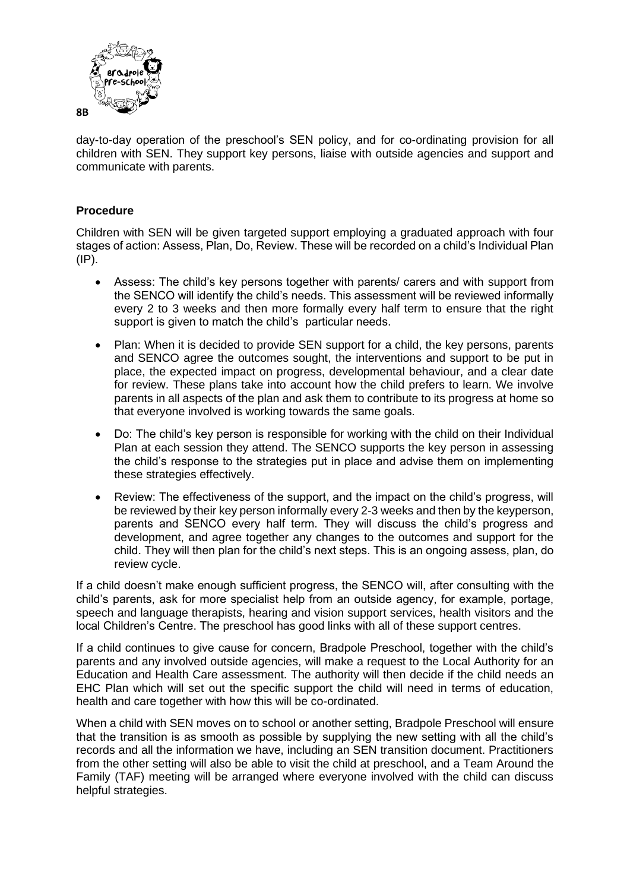

day-to-day operation of the preschool's SEN policy, and for co-ordinating provision for all children with SEN. They support key persons, liaise with outside agencies and support and communicate with parents.

#### **Procedure**

Children with SEN will be given targeted support employing a graduated approach with four stages of action: Assess, Plan, Do, Review. These will be recorded on a child's Individual Plan (IP).

- Assess: The child's key persons together with parents/ carers and with support from the SENCO will identify the child's needs. This assessment will be reviewed informally every 2 to 3 weeks and then more formally every half term to ensure that the right support is given to match the child's particular needs.
- Plan: When it is decided to provide SEN support for a child, the key persons, parents and SENCO agree the outcomes sought, the interventions and support to be put in place, the expected impact on progress, developmental behaviour, and a clear date for review. These plans take into account how the child prefers to learn. We involve parents in all aspects of the plan and ask them to contribute to its progress at home so that everyone involved is working towards the same goals.
- Do: The child's key person is responsible for working with the child on their Individual Plan at each session they attend. The SENCO supports the key person in assessing the child's response to the strategies put in place and advise them on implementing these strategies effectively.
- Review: The effectiveness of the support, and the impact on the child's progress, will be reviewed by their key person informally every 2-3 weeks and then by the keyperson, parents and SENCO every half term. They will discuss the child's progress and development, and agree together any changes to the outcomes and support for the child. They will then plan for the child's next steps. This is an ongoing assess, plan, do review cycle.

If a child doesn't make enough sufficient progress, the SENCO will, after consulting with the child's parents, ask for more specialist help from an outside agency, for example, portage, speech and language therapists, hearing and vision support services, health visitors and the local Children's Centre. The preschool has good links with all of these support centres.

If a child continues to give cause for concern, Bradpole Preschool, together with the child's parents and any involved outside agencies, will make a request to the Local Authority for an Education and Health Care assessment. The authority will then decide if the child needs an EHC Plan which will set out the specific support the child will need in terms of education, health and care together with how this will be co-ordinated.

When a child with SEN moves on to school or another setting, Bradpole Preschool will ensure that the transition is as smooth as possible by supplying the new setting with all the child's records and all the information we have, including an SEN transition document. Practitioners from the other setting will also be able to visit the child at preschool, and a Team Around the Family (TAF) meeting will be arranged where everyone involved with the child can discuss helpful strategies.